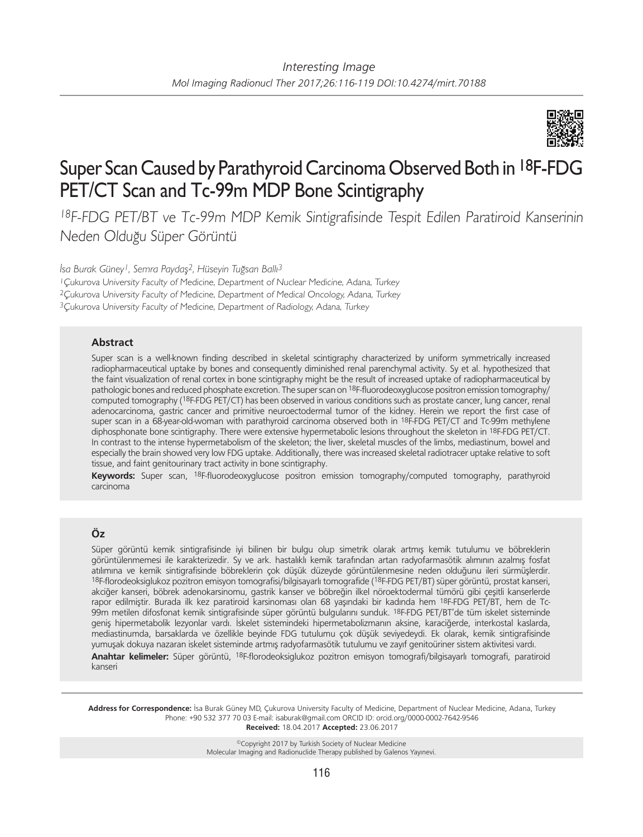

# Super Scan Caused by Parathyroid Carcinoma Observed Both in 18F-FDG PET/CT Scan and Tc-99m MDP Bone Scintigraphy

<sup>18</sup>F-FDG PET/BT ve Tc-99m MDP Kemik Sintigrafisinde Tespit Edilen Paratiroid Kanserinin Neden Olduğu Süper Görüntü

*İsa Burak Güney1, Semra Paydaş2, Hüseyin Tuğsan Ballı3*

<sup>1</sup>Çukurova University Faculty of Medicine, Department of Nuclear Medicine, Adana, Turkey

<sup>2</sup>Çukurova University Faculty of Medicine, Department of Medical Oncology, Adana, Turkey

<sup>3</sup>Çukurova University Faculty of Medicine, Department of Radiology, Adana, Turkey

## **Abstract**

Super scan is a well-known finding described in skeletal scintigraphy characterized by uniform symmetrically increased radiopharmaceutical uptake by bones and consequently diminished renal parenchymal activity. Sy et al. hypothesized that the faint visualization of renal cortex in bone scintigraphy might be the result of increased uptake of radiopharmaceutical by pathologic bones and reduced phosphate excretion. The super scan on 18F-fluorodeoxyglucose positron emission tomography/ computed tomography (18F-FDG PET/CT) has been observed in various conditions such as prostate cancer, lung cancer, renal adenocarcinoma, gastric cancer and primitive neuroectodermal tumor of the kidney. Herein we report the first case of super scan in a 68-year-old-woman with parathyroid carcinoma observed both in 18F-FDG PET/CT and Tc-99m methylene diphosphonate bone scintigraphy. There were extensive hypermetabolic lesions throughout the skeleton in <sup>18</sup>F-FDG PET/CT. In contrast to the intense hypermetabolism of the skeleton; the liver, skeletal muscles of the limbs, mediastinum, bowel and especially the brain showed very low FDG uptake. Additionally, there was increased skeletal radiotracer uptake relative to soft tissue, and faint genitourinary tract activity in bone scintigraphy.

**Keywords:** Super scan, 18F-fluorodeoxyglucose positron emission tomography/computed tomography, parathyroid carcinoma

## **Öz**

Süper görüntü kemik sintigrafisinde iyi bilinen bir bulgu olup simetrik olarak artmış kemik tutulumu ve böbreklerin görüntülenmemesi ile karakterizedir. Sy ve ark. hastalıklı kemik tarafından artan radyofarmasötik alımının azalmış fosfat atılımına ve kemik sintigrafisinde böbreklerin çok düşük düzeyde görüntülenmesine neden olduğunu ileri sürmüşlerdir. 18F-florodeoksiglukoz pozitron emisyon tomografisi/bilgisayarlı tomografide (18F-FDG PET/BT) süper görüntü, prostat kanseri, akciğer kanseri, böbrek adenokarsinomu, gastrik kanser ve böbreğin ilkel nöroektodermal tümörü gibi çeşitli kanserlerde rapor edilmiştir. Burada ilk kez paratiroid karsinoması olan 68 yaşındaki bir kadında hem 18F-FDG PET/BT, hem de Tc-99m metilen difosfonat kemik sintigrafisinde süper görüntü bulgularını sunduk. 18F-FDG PET/BT'de tüm iskelet sisteminde geniş hipermetabolik lezyonlar vardı. İskelet sistemindeki hipermetabolizmanın aksine, karaciğerde, interkostal kaslarda, mediastinumda, barsaklarda ve özellikle beyinde FDG tutulumu çok düşük seviyedeydi. Ek olarak, kemik sintigrafisinde yumuşak dokuya nazaran iskelet sisteminde artmış radyofarmasötik tutulumu ve zayıf genitoüriner sistem aktivitesi vardı.

**Anahtar kelimeler:** Süper görüntü, 18F-florodeoksiglukoz pozitron emisyon tomografi/bilgisayarlı tomografi, paratiroid kanseri

**Address for Correspondence:** İsa Burak Güney MD, Çukurova University Faculty of Medicine, Department of Nuclear Medicine, Adana, Turkey Phone: +90 532 377 70 03 E-mail: isaburak@gmail.com ORCID ID: orcid.org/0000-0002-7642-9546 **Received:** 18.04.2017 **Accepted:** 23.06.2017

> ©Copyright 2017 by Turkish Society of Nuclear Medicine Molecular Imaging and Radionuclide Therapy published by Galenos Yayınevi.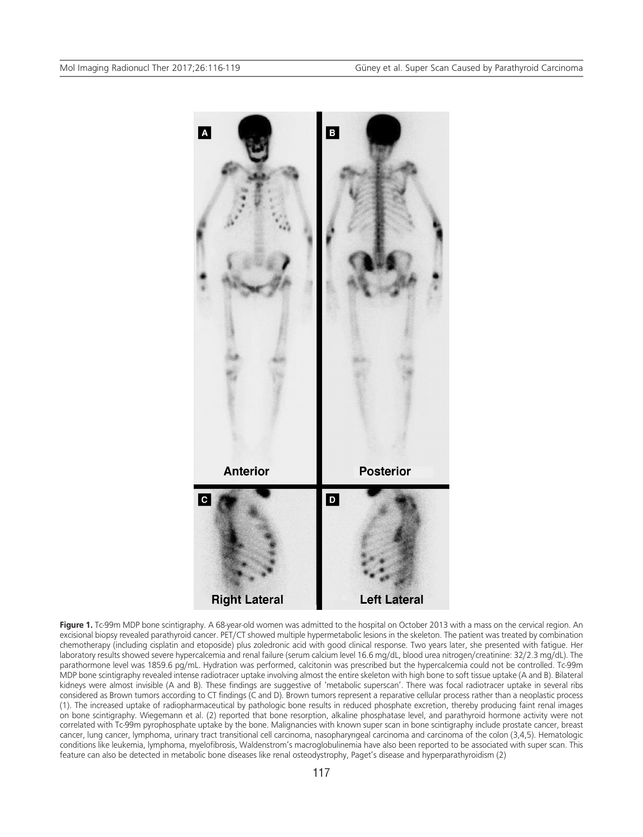

Figure 1. Tc-99m MDP bone scintigraphy. A 68-year-old women was admitted to the hospital on October 2013 with a mass on the cervical region. An excisional biopsy revealed parathyroid cancer. PET/CT showed multiple hypermetabolic lesions in the skeleton. The patient was treated by combination chemotherapy (including cisplatin and etoposide) plus zoledronic acid with good clinical response. Two years later, she presented with fatigue. Her laboratory results showed severe hypercalcemia and renal failure (serum calcium level 16.6 mg/dL, blood urea nitrogen/creatinine: 32/2.3 mg/dL). The parathormone level was 1859.6 pg/mL. Hydration was performed, calcitonin was prescribed but the hypercalcemia could not be controlled. Tc-99m MDP bone scintigraphy revealed intense radiotracer uptake involving almost the entire skeleton with high bone to soft tissue uptake (A and B). Bilateral kidneys were almost invisible (A and B). These findings are suggestive of 'metabolic superscan'. There was focal radiotracer uptake in several ribs considered as Brown tumors according to CT findings (C and D). Brown tumors represent a reparative cellular process rather than a neoplastic process (1). The increased uptake of radiopharmaceutical by pathologic bone results in reduced phosphate excretion, thereby producing faint renal images on bone scintigraphy. Wiegemann et al. (2) reported that bone resorption, alkaline phosphatase level, and parathyroid hormone activity were not correlated with Tc-99m pyrophosphate uptake by the bone. Malignancies with known super scan in bone scintigraphy include prostate cancer, breast cancer, lung cancer, lymphoma, urinary tract transitional cell carcinoma, nasopharyngeal carcinoma and carcinoma of the colon (3,4,5). Hematologic conditions like leukemia, lymphoma, myelofibrosis, Waldenstrom's macroglobulinemia have also been reported to be associated with super scan. This feature can also be detected in metabolic bone diseases like renal osteodystrophy, Paget's disease and hyperparathyroidism (2)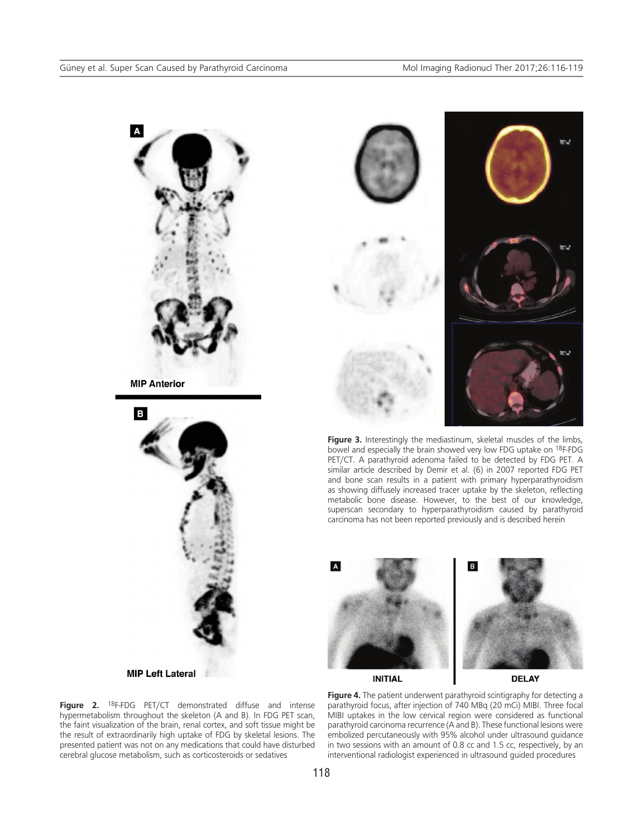



Figure 3. Interestingly the mediastinum, skeletal muscles of the limbs, bowel and especially the brain showed very low FDG uptake on 18F-FDG PET/CT. A parathyroid adenoma failed to be detected by FDG PET. A similar article described by Demir et al. (6) in 2007 reported FDG PET and bone scan results in a patient with primary hyperparathyroidism as showing diffusely increased tracer uptake by the skeleton, reflecting metabolic bone disease. However, to the best of our knowledge, superscan secondary to hyperparathyroidism caused by parathyroid carcinoma has not been reported previously and is described herein



**INITIAL** 

**DELAY** 

**Figure 4.** The patient underwent parathyroid scintigraphy for detecting a parathyroid focus, after injection of 740 MBq (20 mCi) MIBI. Three focal MIBI uptakes in the low cervical region were considered as functional parathyroid carcinoma recurrence (A and B). These functional lesions were embolized percutaneously with 95% alcohol under ultrasound guidance in two sessions with an amount of 0.8 cc and 1.5 cc, respectively, by an interventional radiologist experienced in ultrasound guided procedures

B

**MIP Left Lateral** 

**Figure 2.** 18F-FDG PET/CT demonstrated diffuse and intense hypermetabolism throughout the skeleton (A and B). In FDG PET scan, the faint visualization of the brain, renal cortex, and soft tissue might be the result of extraordinarily high uptake of FDG by skeletal lesions. The presented patient was not on any medications that could have disturbed cerebral glucose metabolism, such as corticosteroids or sedatives